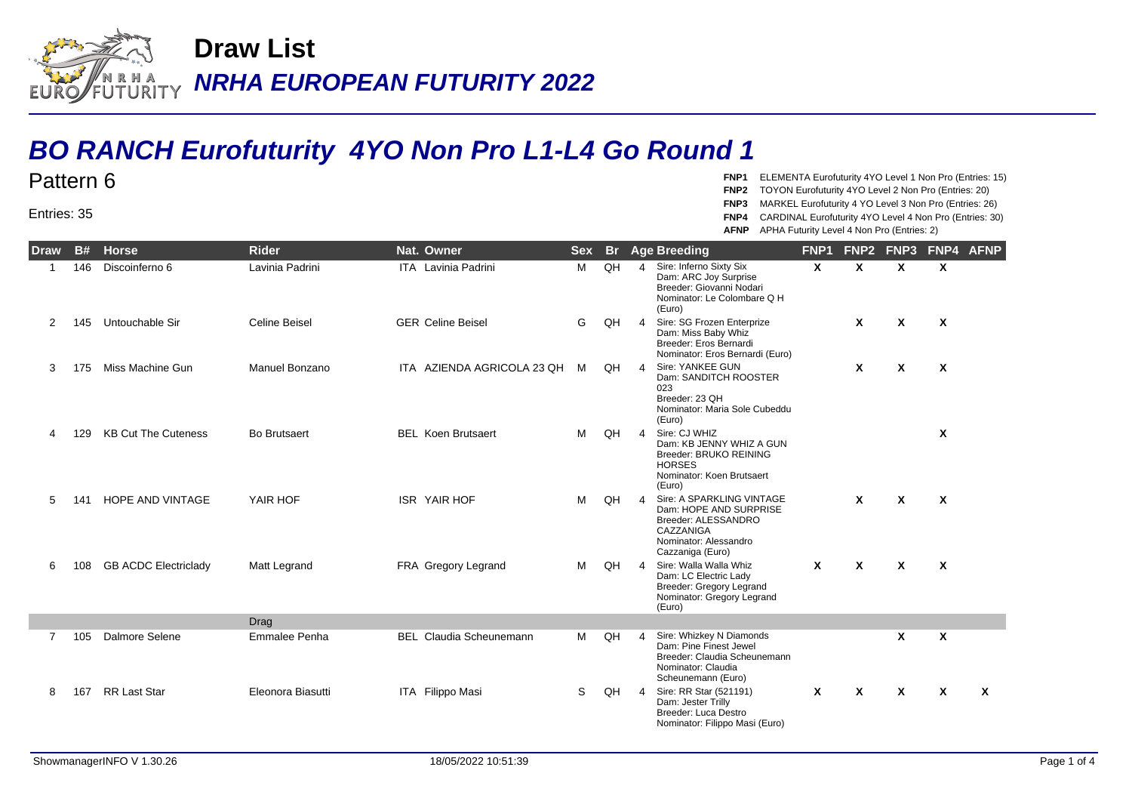

## **BO RANCH Eurofuturity 4YO Non Pro L1-L4 Go Round 1**

**FNP1** ELEMENTA Eurofuturity 4YO Level 1 Non Pro (Entries: 15)

- **FNP2** TOYON Eurofuturity 4YO Level 2 Non Pro (Entries: 20)
- **FNP3** MARKEL Eurofuturity 4 YO Level 3 Non Pro (Entries: 26)
- **FNP4** CARDINAL Eurofuturity 4YO Level 4 Non Pro (Entries: 30)

**AFNP** APHA Futurity Level 4 Non Pro (Entries: 2)

| Draw           | <b>B#</b> | <b>Horse</b>                | <b>Rider</b>          | Nat. Owner                     | <b>Sex</b> | <b>Br</b> |                | <b>Age Breeding</b>                                                                                                                  | FNP <sub>1</sub> | FNP <sub>2</sub>          | FNP <sub>3</sub>          | FNP4 AFNP                 |   |
|----------------|-----------|-----------------------------|-----------------------|--------------------------------|------------|-----------|----------------|--------------------------------------------------------------------------------------------------------------------------------------|------------------|---------------------------|---------------------------|---------------------------|---|
|                | 146       | Discoinferno 6              | Lavinia Padrini       | <b>ITA</b> Lavinia Padrini     | M          | QH        | $\overline{4}$ | Sire: Inferno Sixty Six<br>Dam: ARC Joy Surprise<br>Breeder: Giovanni Nodari<br>Nominator: Le Colombare Q H<br>(Euro)                | $\mathsf{x}$     | $\mathbf{x}$              | $\boldsymbol{\mathsf{x}}$ | $\boldsymbol{\mathsf{x}}$ |   |
| 2              | 145       | Untouchable Sir             | Celine Beisel         | <b>GER Celine Beisel</b>       | G          | QH        | $\overline{4}$ | Sire: SG Frozen Enterprize<br>Dam: Miss Baby Whiz<br>Breeder: Eros Bernardi<br>Nominator: Eros Bernardi (Euro)                       |                  | $\mathbf{x}$              | $\boldsymbol{\mathsf{x}}$ | $\boldsymbol{\mathsf{x}}$ |   |
| 3              | 175       | Miss Machine Gun            | <b>Manuel Bonzano</b> | ITA AZIENDA AGRICOLA 23 QH     | M          | QH        | $\overline{4}$ | Sire: YANKEE GUN<br>Dam: SANDITCH ROOSTER<br>023<br>Breeder: 23 QH<br>Nominator: Maria Sole Cubeddu<br>(Euro)                        |                  | $\boldsymbol{\mathsf{x}}$ | $\boldsymbol{\mathsf{x}}$ | $\boldsymbol{\mathsf{x}}$ |   |
|                | 129       | <b>KB Cut The Cuteness</b>  | <b>Bo Brutsaert</b>   | <b>BEL</b> Koen Brutsaert      | м          | QH        | $\overline{4}$ | Sire: CJ WHIZ<br>Dam: KB JENNY WHIZ A GUN<br>Breeder: BRUKO REINING<br><b>HORSES</b><br>Nominator: Koen Brutsaert<br>(Euro)          |                  |                           |                           | $\mathsf{x}$              |   |
| 5              | 141       | <b>HOPE AND VINTAGE</b>     | YAIR HOF              | <b>ISR YAIR HOF</b>            | M          | QH        | $\overline{4}$ | Sire: A SPARKLING VINTAGE<br>Dam: HOPE AND SURPRISE<br>Breeder: ALESSANDRO<br>CAZZANIGA<br>Nominator: Alessandro<br>Cazzaniga (Euro) |                  | X                         | $\boldsymbol{\mathsf{x}}$ | $\mathsf{x}$              |   |
| 6              | 108       | <b>GB ACDC Electriclady</b> | Matt Legrand          | FRA Gregory Legrand            | M          | QH        | $\overline{4}$ | Sire: Walla Walla Whiz<br>Dam: LC Electric Lady<br>Breeder: Gregory Legrand<br>Nominator: Gregory Legrand<br>(Euro)                  | $\mathsf{x}$     | $\boldsymbol{\mathsf{x}}$ | $\boldsymbol{\mathsf{x}}$ | $\boldsymbol{\mathsf{x}}$ |   |
|                |           |                             | Drag                  |                                |            |           |                |                                                                                                                                      |                  |                           |                           |                           |   |
| $\overline{7}$ | 105       | Dalmore Selene              | Emmalee Penha         | <b>BEL</b> Claudia Scheunemann | M          | QH        | $\overline{4}$ | Sire: Whizkey N Diamonds<br>Dam: Pine Finest Jewel<br>Breeder: Claudia Scheunemann<br>Nominator: Claudia<br>Scheunemann (Euro)       |                  |                           | X                         | X                         |   |
| 8              | 167       | <b>RR Last Star</b>         | Eleonora Biasutti     | ITA Filippo Masi               | S          | QH        | $\overline{4}$ | Sire: RR Star (521191)<br>Dam: Jester Trilly<br>Breeder: Luca Destro<br>Nominator: Filippo Masi (Euro)                               | $\mathsf{x}$     | $\mathbf{x}$              | X                         | $\mathbf{x}$              | X |

Entries: 35

Pattern 6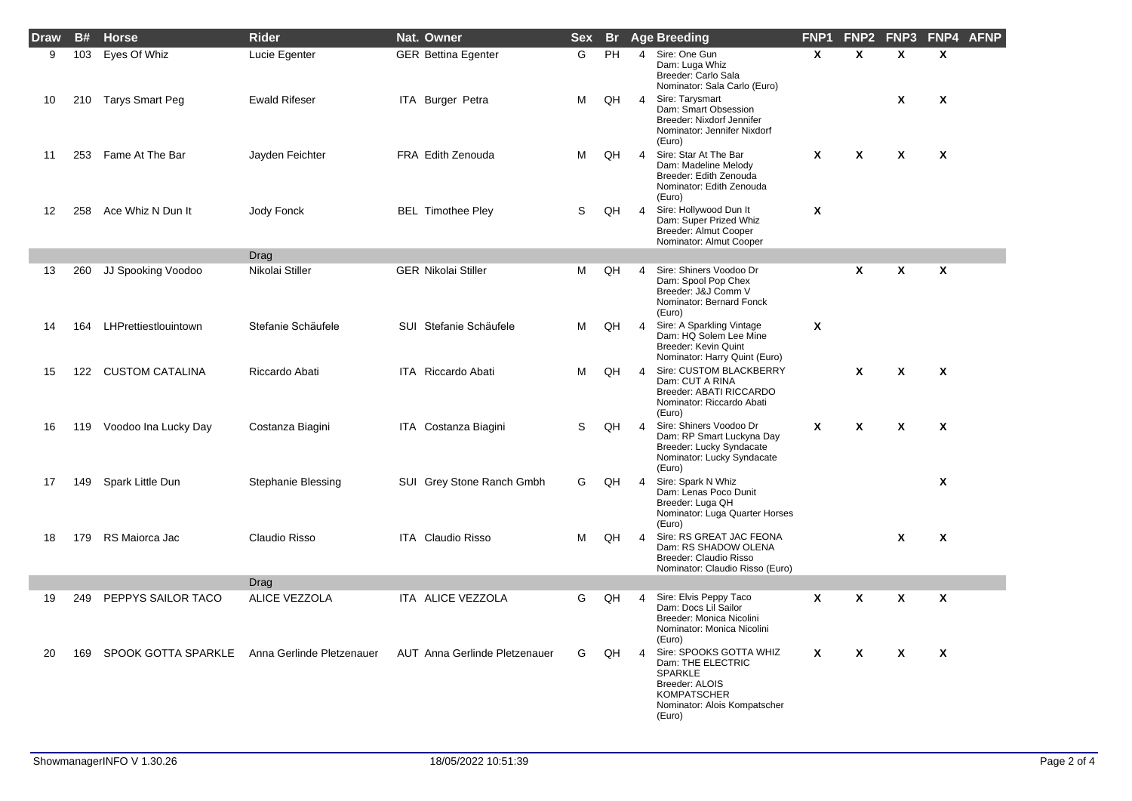| <b>Draw</b> | <b>B#</b> | <b>Horse</b>           | <b>Rider</b>              | Nat. Owner                    | <b>Sex</b> |    |                | <b>Br</b> Age Breeding                                                                                                                    | FNP <sub>1</sub> | FNP <sub>2</sub> | FNP3                      | FNP4 AFNP                 |  |
|-------------|-----------|------------------------|---------------------------|-------------------------------|------------|----|----------------|-------------------------------------------------------------------------------------------------------------------------------------------|------------------|------------------|---------------------------|---------------------------|--|
| 9           | 103       | Eyes Of Whiz           | Lucie Egenter             | <b>GER Bettina Egenter</b>    | G          | PH | $\overline{4}$ | Sire: One Gun<br>Dam: Luga Whiz<br>Breeder: Carlo Sala<br>Nominator: Sala Carlo (Euro)                                                    | $\mathbf{x}$     | $\mathbf{x}$     | $\mathbf{x}$              | $\mathbf{x}$              |  |
| 10          | 210       | Tarys Smart Peg        | <b>Ewald Rifeser</b>      | ITA Burger Petra              | м          | QH | $\overline{4}$ | Sire: Tarysmart<br>Dam: Smart Obsession<br>Breeder: Nixdorf Jennifer<br>Nominator: Jennifer Nixdorf<br>(Euro)                             |                  |                  | X                         | X                         |  |
| 11          | 253       | Fame At The Bar        | Jayden Feichter           | FRA Edith Zenouda             | м          | QH | $\overline{4}$ | Sire: Star At The Bar<br>Dam: Madeline Melody<br>Breeder: Edith Zenouda<br>Nominator: Edith Zenouda<br>(Euro)                             | X                | χ                | X                         | X                         |  |
| 12          | 258       | Ace Whiz N Dun It      | Jody Fonck                | <b>BEL Timothee Pley</b>      | S          | QH | $\overline{4}$ | Sire: Hollywood Dun It<br>Dam: Super Prized Whiz<br>Breeder: Almut Cooper<br>Nominator: Almut Cooper                                      | X                |                  |                           |                           |  |
|             |           |                        | Drag                      |                               |            |    |                |                                                                                                                                           |                  |                  |                           |                           |  |
| 13          | 260       | JJ Spooking Voodoo     | Nikolai Stiller           | <b>GER Nikolai Stiller</b>    | м          | QH | 4              | Sire: Shiners Voodoo Dr<br>Dam: Spool Pop Chex<br>Breeder: J&J Comm V<br>Nominator: Bernard Fonck<br>(Euro)                               |                  | X                | X                         | X                         |  |
| 14          | 164       | LHPrettiestlouintown   | Stefanie Schäufele        | SUI Stefanie Schäufele        | м          | QH | 4              | Sire: A Sparkling Vintage<br>Dam: HQ Solem Lee Mine<br><b>Breeder: Kevin Quint</b><br>Nominator: Harry Quint (Euro)                       | X                |                  |                           |                           |  |
| 15          | 122       | <b>CUSTOM CATALINA</b> | Riccardo Abati            | ITA Riccardo Abati            | м          | QH | $\overline{4}$ | Sire: CUSTOM BLACKBERRY<br>Dam: CUT A RINA<br>Breeder: ABATI RICCARDO<br>Nominator: Riccardo Abati<br>(Euro)                              |                  | X                | X                         | $\boldsymbol{\mathsf{x}}$ |  |
| 16          | 119       | Voodoo Ina Lucky Day   | Costanza Biagini          | ITA Costanza Biagini          | S          | QH | $\overline{4}$ | Sire: Shiners Voodoo Dr<br>Dam: RP Smart Luckyna Day<br>Breeder: Lucky Syndacate<br>Nominator: Lucky Syndacate<br>(Euro)                  | X                | χ                | $\boldsymbol{\mathsf{x}}$ | X                         |  |
| 17          | 149       | Spark Little Dun       | Stephanie Blessing        | SUI Grey Stone Ranch Gmbh     | G          | QH | $\overline{4}$ | Sire: Spark N Whiz<br>Dam: Lenas Poco Dunit<br>Breeder: Luga QH<br>Nominator: Luga Quarter Horses<br>(Euro)                               |                  |                  |                           | X                         |  |
| 18          | 179       | RS Maiorca Jac         | Claudio Risso             | ITA Claudio Risso             | м          | QH | $\overline{4}$ | Sire: RS GREAT JAC FEONA<br>Dam: RS SHADOW OLENA<br>Breeder: Claudio Risso<br>Nominator: Claudio Risso (Euro)                             |                  |                  | X                         | $\mathsf{x}$              |  |
|             |           |                        | Drag                      |                               |            |    |                |                                                                                                                                           |                  |                  |                           |                           |  |
| 19          | 249       | PEPPYS SAILOR TACO     | <b>ALICE VEZZOLA</b>      | ITA ALICE VEZZOLA             | G          | QH | $\overline{4}$ | Sire: Elvis Peppy Taco<br>Dam: Docs Lil Sailor<br>Breeder: Monica Nicolini<br>Nominator: Monica Nicolini<br>(Euro)                        | $\mathbf{x}$     | X                | X                         | X                         |  |
| 20          | 169       | SPOOK GOTTA SPARKLE    | Anna Gerlinde Pletzenauer | AUT Anna Gerlinde Pletzenauer | G          | QH | $\overline{4}$ | Sire: SPOOKS GOTTA WHIZ<br>Dam: THE ELECTRIC<br>SPARKLE<br>Breeder: ALOIS<br><b>KOMPATSCHER</b><br>Nominator: Alois Kompatscher<br>(Euro) | X                | X                | X                         | $\mathsf{x}$              |  |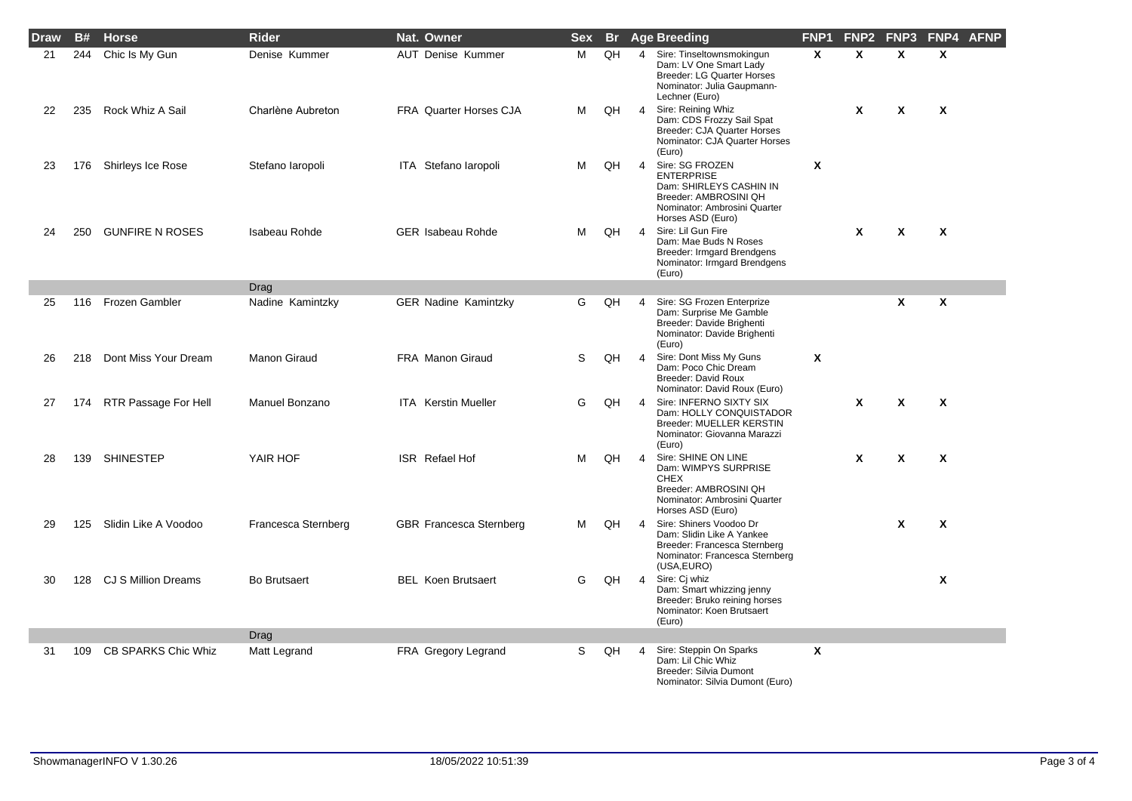| <b>Draw</b> | <b>B#</b> | <b>Horse</b>               | <b>Rider</b>         | Nat. Owner                     | <b>Sex</b> |    |                | <b>Br</b> Age Breeding                                                                                                                        | FNP <sub>1</sub> | FNP <sub>2</sub> | FNP <sub>3</sub>          | FNP4 AFNP                 |  |
|-------------|-----------|----------------------------|----------------------|--------------------------------|------------|----|----------------|-----------------------------------------------------------------------------------------------------------------------------------------------|------------------|------------------|---------------------------|---------------------------|--|
| 21          | 244       | Chic Is My Gun             | Denise Kummer        | <b>AUT Denise Kummer</b>       | M          | QH | 4              | Sire: Tinseltownsmokingun<br>Dam: LV One Smart Lady<br>Breeder: LG Quarter Horses<br>Nominator: Julia Gaupmann-<br>Lechner (Euro)             | $\mathbf{x}$     | X                | $\mathbf{x}$              | X                         |  |
| 22          | 235       | Rock Whiz A Sail           | Charlène Aubreton    | FRA Quarter Horses CJA         | м          | QH | $\overline{4}$ | Sire: Reining Whiz<br>Dam: CDS Frozzy Sail Spat<br><b>Breeder: CJA Quarter Horses</b><br>Nominator: CJA Quarter Horses<br>(Euro)              |                  | X                | X                         | X                         |  |
| 23          | 176       | Shirleys Ice Rose          | Stefano laropoli     | ITA Stefano Iaropoli           | м          | QH | 4              | Sire: SG FROZEN<br><b>ENTERPRISE</b><br>Dam: SHIRLEYS CASHIN IN<br>Breeder: AMBROSINI QH<br>Nominator: Ambrosini Quarter<br>Horses ASD (Euro) | X                |                  |                           |                           |  |
| 24          | 250       | <b>GUNFIRE N ROSES</b>     | <b>Isabeau Rohde</b> | <b>GER Isabeau Rohde</b>       | м          | QH | $\overline{4}$ | Sire: Lil Gun Fire<br>Dam: Mae Buds N Roses<br>Breeder: Irmgard Brendgens<br>Nominator: Irmgard Brendgens<br>(Euro)                           |                  | X                | $\boldsymbol{\mathsf{x}}$ | $\boldsymbol{\mathsf{x}}$ |  |
|             |           |                            | Drag                 |                                |            |    |                |                                                                                                                                               |                  |                  |                           |                           |  |
| 25          | 116       | Frozen Gambler             | Nadine Kamintzky     | <b>GER Nadine Kamintzky</b>    | G          | QH | 4              | Sire: SG Frozen Enterprize<br>Dam: Surprise Me Gamble<br>Breeder: Davide Brighenti<br>Nominator: Davide Brighenti<br>(Euro)                   |                  |                  | $\mathbf{x}$              | X                         |  |
| 26          | 218       | Dont Miss Your Dream       | Manon Giraud         | <b>FRA Manon Giraud</b>        | S          | QH | $\overline{4}$ | Sire: Dont Miss My Guns<br>Dam: Poco Chic Dream<br>Breeder: David Roux<br>Nominator: David Roux (Euro)                                        | Χ                |                  |                           |                           |  |
| 27          | 174       | RTR Passage For Hell       | Manuel Bonzano       | <b>ITA</b> Kerstin Mueller     | G          | QH | 4              | Sire: INFERNO SIXTY SIX<br>Dam: HOLLY CONQUISTADOR<br><b>Breeder: MUELLER KERSTIN</b><br>Nominator: Giovanna Marazzi<br>(Euro)                |                  | X                | X                         | $\mathbf{x}$              |  |
| 28          | 139       | <b>SHINESTEP</b>           | YAIR HOF             | <b>ISR</b> Refael Hof          | м          | QH | 4              | Sire: SHINE ON LINE<br>Dam: WIMPYS SURPRISE<br><b>CHEX</b><br>Breeder: AMBROSINI QH<br>Nominator: Ambrosini Quarter<br>Horses ASD (Euro)      |                  | X                | $\boldsymbol{\mathsf{x}}$ | $\mathbf{x}$              |  |
| 29          | 125       | Slidin Like A Voodoo       | Francesca Sternberg  | <b>GBR Francesca Sternberg</b> | м          | QH | $\overline{4}$ | Sire: Shiners Voodoo Dr<br>Dam: Slidin Like A Yankee<br>Breeder: Francesca Sternberg<br>Nominator: Francesca Sternberg<br>(USA, EURO)         |                  |                  | $\mathbf{x}$              | $\mathsf{x}$              |  |
| 30          | 128       | CJ S Million Dreams        | <b>Bo Brutsaert</b>  | <b>BEL Koen Brutsaert</b>      | G          | QH | $\overline{4}$ | Sire: Cj whiz<br>Dam: Smart whizzing jenny<br>Breeder: Bruko reining horses<br>Nominator: Koen Brutsaert<br>(Euro)                            |                  |                  |                           | $\mathbf{x}$              |  |
|             |           |                            | Drag                 |                                |            |    |                |                                                                                                                                               |                  |                  |                           |                           |  |
| 31          | 109       | <b>CB SPARKS Chic Whiz</b> | Matt Legrand         | FRA Gregory Legrand            | S.         | QH | 4              | Sire: Steppin On Sparks<br>Dam: Lil Chic Whiz<br>Breeder: Silvia Dumont<br>Nominator: Silvia Dumont (Euro)                                    | X                |                  |                           |                           |  |